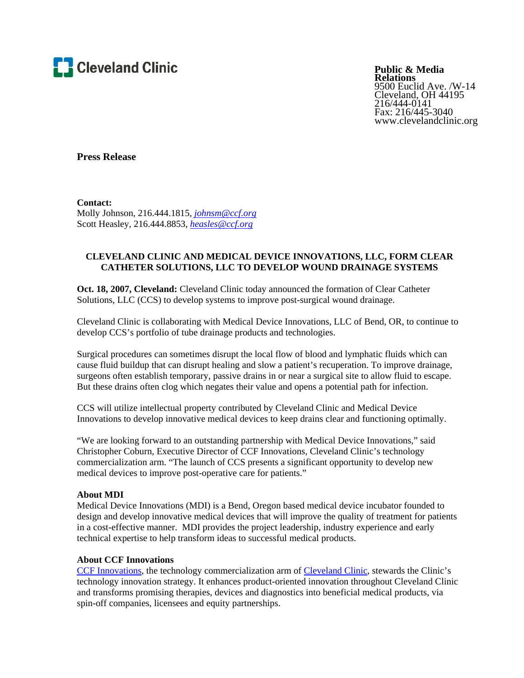

**Public & Media Relations**  9500 Euclid Ave. /W-14 Cleveland, OH 44195 216/444-0141 Fax: 216/445-3040 www.clevelandclinic.org

**Press Release** 

**Contact:** 

Molly Johnson, 216.444.1815, *johnsm@ccf.org* Scott Heasley, 216.444.8853, heasles@ccf.org

## **CLEVELAND CLINIC AND MEDICAL DEVICE INNOVATIONS, LLC, FORM CLEAR CATHETER SOLUTIONS, LLC TO DEVELOP WOUND DRAINAGE SYSTEMS**

**Oct. 18, 2007, Cleveland:** Cleveland Clinic today announced the formation of Clear Catheter Solutions, LLC (CCS) to develop systems to improve post-surgical wound drainage.

Cleveland Clinic is collaborating with Medical Device Innovations, LLC of Bend, OR, to continue to develop CCS's portfolio of tube drainage products and technologies.

Surgical procedures can sometimes disrupt the local flow of blood and lymphatic fluids which can cause fluid buildup that can disrupt healing and slow a patient's recuperation. To improve drainage, surgeons often establish temporary, passive drains in or near a surgical site to allow fluid to escape. But these drains often clog which negates their value and opens a potential path for infection.

CCS will utilize intellectual property contributed by Cleveland Clinic and Medical Device Innovations to develop innovative medical devices to keep drains clear and functioning optimally.

"We are looking forward to an outstanding partnership with Medical Device Innovations," said Christopher Coburn, Executive Director of CCF Innovations, Cleveland Clinic's technology commercialization arm. "The launch of CCS presents a significant opportunity to develop new medical devices to improve post-operative care for patients."

### **About MDI**

Medical Device Innovations (MDI) is a Bend, Oregon based medical device incubator founded to design and develop innovative medical devices that will improve the quality of treatment for patients in a cost-effective manner. MDI provides the project leadership, industry experience and early technical expertise to help transform ideas to successful medical products.

#### **About CCF Innovations**

CCF Innovations, the technology commercialization arm of Cleveland Clinic, stewards the Clinic's technology innovation strategy. It enhances product-oriented innovation throughout Cleveland Clinic and transforms promising therapies, devices and diagnostics into beneficial medical products, via spin-off companies, licensees and equity partnerships.